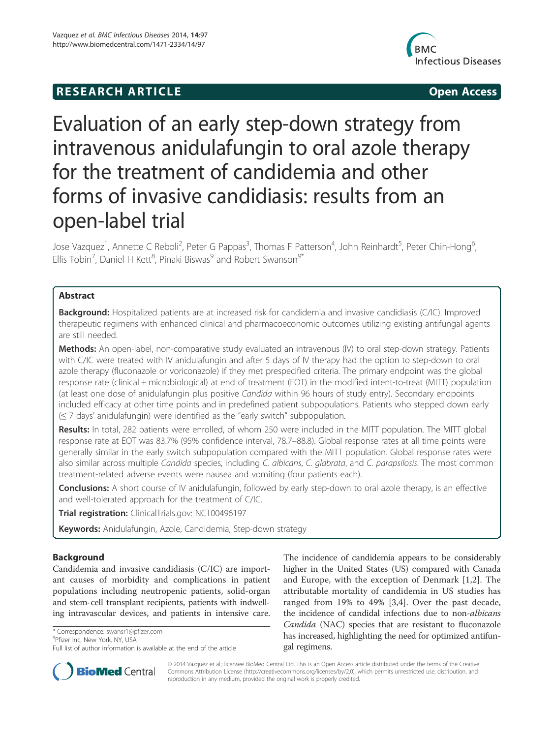# **RESEARCH ARTICLE Example 2014 CONSIDERING CONSIDERING CONSIDERING CONSIDERING CONSIDERING CONSIDERING CONSIDERING CONSIDERING CONSIDERING CONSIDERING CONSIDERING CONSIDERING CONSIDERING CONSIDERING CONSIDERING CONSIDE**



# Evaluation of an early step-down strategy from intravenous anidulafungin to oral azole therapy for the treatment of candidemia and other forms of invasive candidiasis: results from an open-label trial

Jose Vazquez<sup>1</sup>, Annette C Reboli<sup>2</sup>, Peter G Pappas<sup>3</sup>, Thomas F Patterson<sup>4</sup>, John Reinhardt<sup>5</sup>, Peter Chin-Hong<sup>6</sup> , Ellis Tobin<sup>7</sup>, Daniel H Kett<sup>8</sup>, Pinaki Biswas<sup>9</sup> and Robert Swanson<sup>9\*</sup>

# Abstract

Background: Hospitalized patients are at increased risk for candidemia and invasive candidiasis (C/IC). Improved therapeutic regimens with enhanced clinical and pharmacoeconomic outcomes utilizing existing antifungal agents are still needed.

Methods: An open-label, non-comparative study evaluated an intravenous (IV) to oral step-down strategy. Patients with C/IC were treated with IV anidulafungin and after 5 days of IV therapy had the option to step-down to oral azole therapy (fluconazole or voriconazole) if they met prespecified criteria. The primary endpoint was the global response rate (clinical + microbiological) at end of treatment (EOT) in the modified intent-to-treat (MITT) population (at least one dose of anidulafungin plus positive Candida within 96 hours of study entry). Secondary endpoints included efficacy at other time points and in predefined patient subpopulations. Patients who stepped down early (≤ 7 days' anidulafungin) were identified as the "early switch" subpopulation.

Results: In total, 282 patients were enrolled, of whom 250 were included in the MITT population. The MITT global response rate at EOT was 83.7% (95% confidence interval, 78.7–88.8). Global response rates at all time points were generally similar in the early switch subpopulation compared with the MITT population. Global response rates were also similar across multiple Candida species, including C. albicans, C. glabrata, and C. parapsilosis. The most common treatment-related adverse events were nausea and vomiting (four patients each).

Conclusions: A short course of IV anidulafungin, followed by early step-down to oral azole therapy, is an effective and well-tolerated approach for the treatment of C/IC.

Trial registration: ClinicalTrials.gov: NCT00496197

Keywords: Anidulafungin, Azole, Candidemia, Step-down strategy

# Background

Candidemia and invasive candidiasis (C/IC) are important causes of morbidity and complications in patient populations including neutropenic patients, solid-organ and stem-cell transplant recipients, patients with indwelling intravascular devices, and patients in intensive care.

\* Correspondence: swansr1@pfizer.com <sup>9</sup>

<sup>9</sup>Pfizer Inc, New York, NY, USA

The incidence of candidemia appears to be considerably higher in the United States (US) compared with Canada and Europe, with the exception of Denmark [1,2]. The attributable mortality of candidemia in US studies has ranged from 19% to 49% [3,4]. Over the past decade, the incidence of candidal infections due to non-albicans Candida (NAC) species that are resistant to fluconazole has increased, highlighting the need for optimized antifungal regimens.



© 2014 Vazquez et al.; licensee BioMed Central Ltd. This is an Open Access article distributed under the terms of the Creative Commons Attribution License (http://creativecommons.org/licenses/by/2.0), which permits unrestricted use, distribution, and reproduction in any medium, provided the original work is properly credited.

Full list of author information is available at the end of the article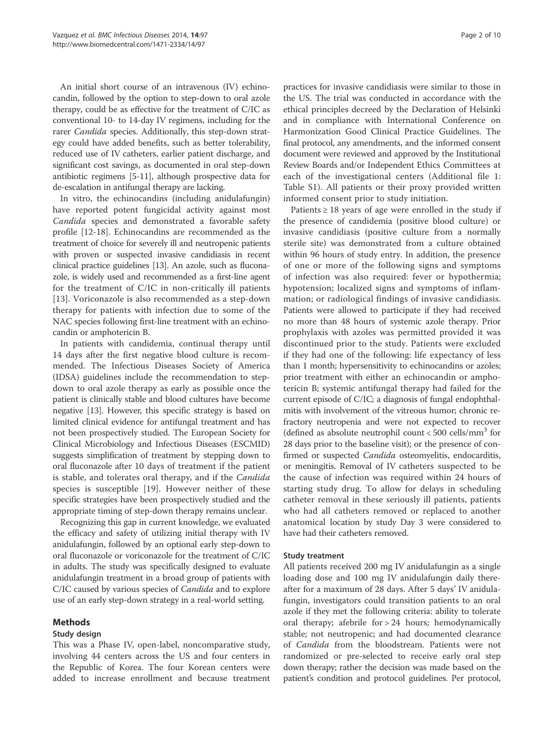An initial short course of an intravenous (IV) echinocandin, followed by the option to step-down to oral azole therapy, could be as effective for the treatment of C/IC as conventional 10- to 14-day IV regimens, including for the rarer *Candida* species. Additionally, this step-down strategy could have added benefits, such as better tolerability, reduced use of IV catheters, earlier patient discharge, and significant cost savings, as documented in oral step-down antibiotic regimens [5-11], although prospective data for de-escalation in antifungal therapy are lacking.

In vitro, the echinocandins (including anidulafungin) have reported potent fungicidal activity against most Candida species and demonstrated a favorable safety profile [12-18]. Echinocandins are recommended as the treatment of choice for severely ill and neutropenic patients with proven or suspected invasive candidiasis in recent clinical practice guidelines [13]. An azole, such as fluconazole, is widely used and recommended as a first-line agent for the treatment of C/IC in non-critically ill patients [13]. Voriconazole is also recommended as a step-down therapy for patients with infection due to some of the NAC species following first-line treatment with an echinocandin or amphotericin B.

In patients with candidemia, continual therapy until 14 days after the first negative blood culture is recommended. The Infectious Diseases Society of America (IDSA) guidelines include the recommendation to stepdown to oral azole therapy as early as possible once the patient is clinically stable and blood cultures have become negative [13]. However, this specific strategy is based on limited clinical evidence for antifungal treatment and has not been prospectively studied. The European Society for Clinical Microbiology and Infectious Diseases (ESCMID) suggests simplification of treatment by stepping down to oral fluconazole after 10 days of treatment if the patient is stable, and tolerates oral therapy, and if the Candida species is susceptible [19]. However neither of these specific strategies have been prospectively studied and the appropriate timing of step-down therapy remains unclear.

Recognizing this gap in current knowledge, we evaluated the efficacy and safety of utilizing initial therapy with IV anidulafungin, followed by an optional early step-down to oral fluconazole or voriconazole for the treatment of C/IC in adults. The study was specifically designed to evaluate anidulafungin treatment in a broad group of patients with C/IC caused by various species of *Candida* and to explore use of an early step-down strategy in a real-world setting.

# Methods

# Study design

This was a Phase IV, open-label, noncomparative study, involving 44 centers across the US and four centers in the Republic of Korea. The four Korean centers were added to increase enrollment and because treatment

practices for invasive candidiasis were similar to those in the US. The trial was conducted in accordance with the ethical principles decreed by the Declaration of Helsinki and in compliance with International Conference on Harmonization Good Clinical Practice Guidelines. The final protocol, any amendments, and the informed consent document were reviewed and approved by the Institutional Review Boards and/or Independent Ethics Committees at each of the investigational centers (Additional file 1: Table S1). All patients or their proxy provided written informed consent prior to study initiation.

Patients  $\geq 18$  years of age were enrolled in the study if the presence of candidemia (positive blood culture) or invasive candidiasis (positive culture from a normally sterile site) was demonstrated from a culture obtained within 96 hours of study entry. In addition, the presence of one or more of the following signs and symptoms of infection was also required: fever or hypothermia; hypotension; localized signs and symptoms of inflammation; or radiological findings of invasive candidiasis. Patients were allowed to participate if they had received no more than 48 hours of systemic azole therapy. Prior prophylaxis with azoles was permitted provided it was discontinued prior to the study. Patients were excluded if they had one of the following: life expectancy of less than 1 month; hypersensitivity to echinocandins or azoles; prior treatment with either an echinocandin or amphotericin B; systemic antifungal therapy had failed for the current episode of C/IC; a diagnosis of fungal endophthalmitis with involvement of the vitreous humor; chronic refractory neutropenia and were not expected to recover (defined as absolute neutrophil count  $<$  500 cells/mm<sup>3</sup> for 28 days prior to the baseline visit); or the presence of confirmed or suspected Candida osteomyelitis, endocarditis, or meningitis. Removal of IV catheters suspected to be the cause of infection was required within 24 hours of starting study drug. To allow for delays in scheduling catheter removal in these seriously ill patients, patients who had all catheters removed or replaced to another anatomical location by study Day 3 were considered to have had their catheters removed.

# Study treatment

All patients received 200 mg IV anidulafungin as a single loading dose and 100 mg IV anidulafungin daily thereafter for a maximum of 28 days. After 5 days' IV anidulafungin, investigators could transition patients to an oral azole if they met the following criteria: ability to tolerate oral therapy; afebrile for > 24 hours; hemodynamically stable; not neutropenic; and had documented clearance of Candida from the bloodstream. Patients were not randomized or pre-selected to receive early oral step down therapy; rather the decision was made based on the patient's condition and protocol guidelines. Per protocol,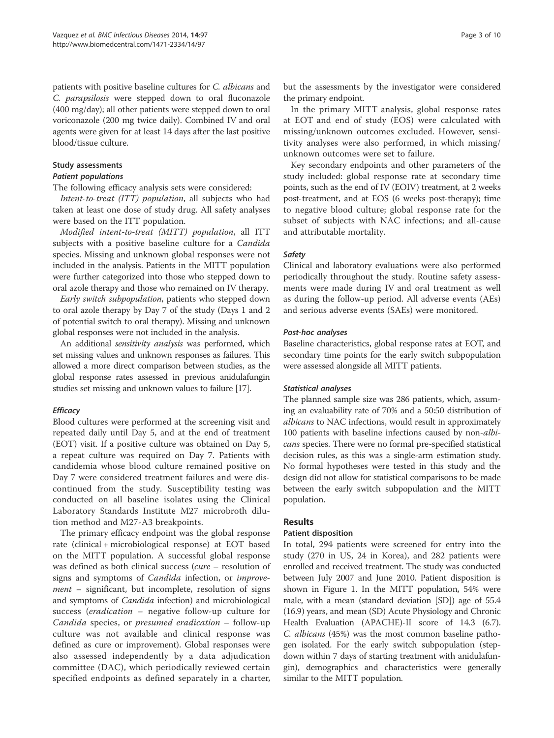patients with positive baseline cultures for C. albicans and C. parapsilosis were stepped down to oral fluconazole (400 mg/day); all other patients were stepped down to oral voriconazole (200 mg twice daily). Combined IV and oral agents were given for at least 14 days after the last positive blood/tissue culture.

# Study assessments

# Patient populations

The following efficacy analysis sets were considered:

Intent-to-treat (ITT) population, all subjects who had taken at least one dose of study drug. All safety analyses were based on the ITT population.

Modified intent-to-treat (MITT) population, all ITT subjects with a positive baseline culture for a *Candida* species. Missing and unknown global responses were not included in the analysis. Patients in the MITT population were further categorized into those who stepped down to oral azole therapy and those who remained on IV therapy.

Early switch subpopulation, patients who stepped down to oral azole therapy by Day 7 of the study (Days 1 and 2 of potential switch to oral therapy). Missing and unknown global responses were not included in the analysis.

An additional *sensitivity analysis* was performed, which set missing values and unknown responses as failures. This allowed a more direct comparison between studies, as the global response rates assessed in previous anidulafungin studies set missing and unknown values to failure [17].

# **Efficacy**

Blood cultures were performed at the screening visit and repeated daily until Day 5, and at the end of treatment (EOT) visit. If a positive culture was obtained on Day 5, a repeat culture was required on Day 7. Patients with candidemia whose blood culture remained positive on Day 7 were considered treatment failures and were discontinued from the study. Susceptibility testing was conducted on all baseline isolates using the Clinical Laboratory Standards Institute M27 microbroth dilution method and M27-A3 breakpoints.

The primary efficacy endpoint was the global response rate (clinical + microbiological response) at EOT based on the MITT population. A successful global response was defined as both clinical success (*cure –* resolution of signs and symptoms of Candida infection, or improvement – significant, but incomplete, resolution of signs and symptoms of Candida infection) and microbiological success (eradication – negative follow-up culture for Candida species, or presumed eradication – follow-up culture was not available and clinical response was defined as cure or improvement). Global responses were also assessed independently by a data adjudication committee (DAC), which periodically reviewed certain specified endpoints as defined separately in a charter,

but the assessments by the investigator were considered the primary endpoint.

In the primary MITT analysis, global response rates at EOT and end of study (EOS) were calculated with missing/unknown outcomes excluded. However, sensitivity analyses were also performed, in which missing/ unknown outcomes were set to failure.

Key secondary endpoints and other parameters of the study included: global response rate at secondary time points, such as the end of IV (EOIV) treatment, at 2 weeks post-treatment, and at EOS (6 weeks post-therapy); time to negative blood culture; global response rate for the subset of subjects with NAC infections; and all-cause and attributable mortality.

# Safety

Clinical and laboratory evaluations were also performed periodically throughout the study. Routine safety assessments were made during IV and oral treatment as well as during the follow-up period. All adverse events (AEs) and serious adverse events (SAEs) were monitored.

# Post-hoc analyses

Baseline characteristics, global response rates at EOT, and secondary time points for the early switch subpopulation were assessed alongside all MITT patients.

# Statistical analyses

The planned sample size was 286 patients, which, assuming an evaluability rate of 70% and a 50:50 distribution of albicans to NAC infections, would result in approximately 100 patients with baseline infections caused by non-albicans species. There were no formal pre-specified statistical decision rules, as this was a single-arm estimation study. No formal hypotheses were tested in this study and the design did not allow for statistical comparisons to be made between the early switch subpopulation and the MITT population.

# Results

# Patient disposition

In total, 294 patients were screened for entry into the study (270 in US, 24 in Korea), and 282 patients were enrolled and received treatment. The study was conducted between July 2007 and June 2010. Patient disposition is shown in Figure 1. In the MITT population, 54% were male, with a mean (standard deviation [SD]) age of 55.4 (16.9) years, and mean (SD) Acute Physiology and Chronic Health Evaluation (APACHE)-II score of 14.3 (6.7). C. albicans (45%) was the most common baseline pathogen isolated. For the early switch subpopulation (stepdown within 7 days of starting treatment with anidulafungin), demographics and characteristics were generally similar to the MITT population.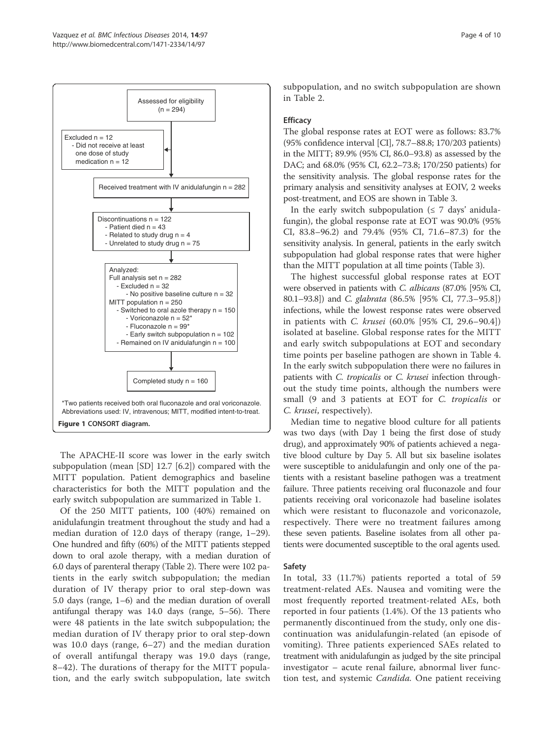

The APACHE-II score was lower in the early switch subpopulation (mean [SD] 12.7 [6.2]) compared with the MITT population. Patient demographics and baseline characteristics for both the MITT population and the early switch subpopulation are summarized in Table 1.

Of the 250 MITT patients, 100 (40%) remained on anidulafungin treatment throughout the study and had a median duration of 12.0 days of therapy (range, 1–29). One hundred and fifty (60%) of the MITT patients stepped down to oral azole therapy, with a median duration of 6.0 days of parenteral therapy (Table 2). There were 102 patients in the early switch subpopulation; the median duration of IV therapy prior to oral step-down was 5.0 days (range, 1–6) and the median duration of overall antifungal therapy was 14.0 days (range, 5–56). There were 48 patients in the late switch subpopulation; the median duration of IV therapy prior to oral step-down was 10.0 days (range, 6–27) and the median duration of overall antifungal therapy was 19.0 days (range, 8–42). The durations of therapy for the MITT population, and the early switch subpopulation, late switch subpopulation, and no switch subpopulation are shown in Table 2.

#### **Efficacy**

The global response rates at EOT were as follows: 83.7% (95% confidence interval [CI], 78.7–88.8; 170/203 patients) in the MITT; 89.9% (95% CI, 86.0–93.8) as assessed by the DAC; and 68.0% (95% CI, 62.2–73.8; 170/250 patients) for the sensitivity analysis. The global response rates for the primary analysis and sensitivity analyses at EOIV, 2 weeks post-treatment, and EOS are shown in Table 3.

In the early switch subpopulation ( $\leq$  7 days' anidulafungin), the global response rate at EOT was 90.0% (95% CI, 83.8–96.2) and 79.4% (95% CI, 71.6–87.3) for the sensitivity analysis. In general, patients in the early switch subpopulation had global response rates that were higher than the MITT population at all time points (Table 3).

The highest successful global response rates at EOT were observed in patients with C. albicans (87.0% [95% CI, 80.1–93.8]) and C. glabrata (86.5% [95% CI, 77.3–95.8]) infections, while the lowest response rates were observed in patients with C. krusei (60.0% [95% CI, 29.6–90.4]) isolated at baseline. Global response rates for the MITT and early switch subpopulations at EOT and secondary time points per baseline pathogen are shown in Table 4. In the early switch subpopulation there were no failures in patients with C. tropicalis or C. krusei infection throughout the study time points, although the numbers were small (9 and 3 patients at EOT for C. tropicalis or C. krusei, respectively).

Median time to negative blood culture for all patients was two days (with Day 1 being the first dose of study drug), and approximately 90% of patients achieved a negative blood culture by Day 5. All but six baseline isolates were susceptible to anidulafungin and only one of the patients with a resistant baseline pathogen was a treatment failure. Three patients receiving oral fluconazole and four patients receiving oral voriconazole had baseline isolates which were resistant to fluconazole and voriconazole, respectively. There were no treatment failures among these seven patients. Baseline isolates from all other patients were documented susceptible to the oral agents used.

#### Safety

In total, 33 (11.7%) patients reported a total of 59 treatment-related AEs. Nausea and vomiting were the most frequently reported treatment-related AEs, both reported in four patients (1.4%). Of the 13 patients who permanently discontinued from the study, only one discontinuation was anidulafungin-related (an episode of vomiting). Three patients experienced SAEs related to treatment with anidulafungin as judged by the site principal investigator – acute renal failure, abnormal liver function test, and systemic Candida. One patient receiving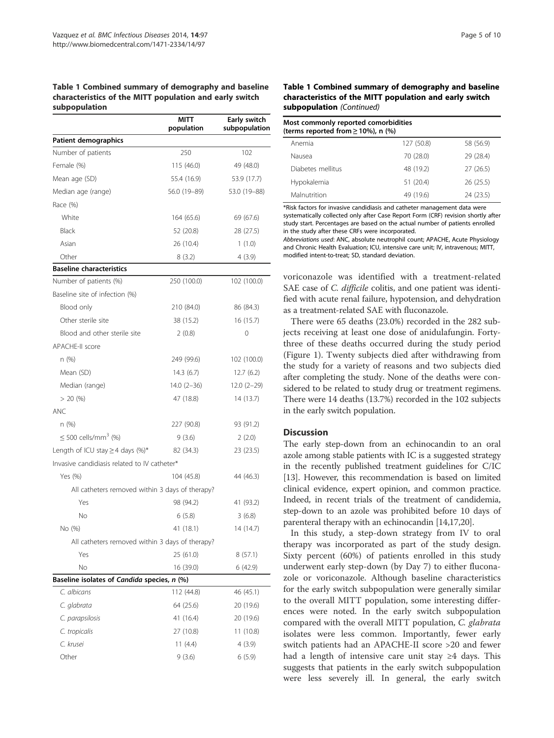Table 1 Combined summary of demography and baseline characteristics of the MITT population and early switch subpopulation

|                                                 | MITT<br>population | Early switch<br>subpopulation |
|-------------------------------------------------|--------------------|-------------------------------|
| <b>Patient demographics</b>                     |                    |                               |
| Number of patients                              | 250                | 102                           |
| Female (%)                                      | 115 (46.0)         | 49 (48.0)                     |
| Mean age (SD)                                   | 55.4 (16.9)        | 53.9 (17.7)                   |
| Median age (range)                              | 56.0 (19-89)       | 53.0 (19-88)                  |
| Race (%)                                        |                    |                               |
| White                                           | 164 (65.6)         | 69 (67.6)                     |
| Black                                           | 52 (20.8)          | 28 (27.5)                     |
| Asian                                           | 26 (10.4)          | 1(1.0)                        |
| Other                                           | 8 (3.2)            | 4 (3.9)                       |
| <b>Baseline characteristics</b>                 |                    |                               |
| Number of patients (%)                          | 250 (100.0)        | 102 (100.0)                   |
| Baseline site of infection (%)                  |                    |                               |
| Blood only                                      | 210 (84.0)         | 86 (84.3)                     |
| Other sterile site                              | 38 (15.2)          | 16 (15.7)                     |
| Blood and other sterile site                    | 2(0.8)             | 0                             |
| APACHE-II score                                 |                    |                               |
| n (%)                                           | 249 (99.6)         | 102 (100.0)                   |
| Mean (SD)                                       | 14.3(6.7)          | 12.7(6.2)                     |
| Median (range)                                  | $14.0(2-36)$       | $12.0(2-29)$                  |
| $> 20$ (%)                                      | 47 (18.8)          | 14 (13.7)                     |
| <b>ANC</b>                                      |                    |                               |
| n(%)                                            | 227 (90.8)         | 93 (91.2)                     |
| $\leq$ 500 cells/mm <sup>3</sup> (%)            | 9(3.6)             | 2(2.0)                        |
| Length of ICU stay $\geq$ 4 days (%)*           | 82 (34.3)          | 23 (23.5)                     |
| Invasive candidiasis related to IV catheter*    |                    |                               |
| Yes (%)                                         | 104 (45.8)         | 44 (46.3)                     |
| All catheters removed within 3 days of therapy? |                    |                               |
| Yes                                             | 98 (94.2)          | 41 (93.2)                     |
| No                                              | 6(5.8)             | 3(6.8)                        |
| No (%)                                          | 41 (18.1)          | 14 (14.7)                     |
| All catheters removed within 3 days of therapy? |                    |                               |
| Yes                                             | 25 (61.0)          | 8(57.1)                       |
| No                                              | 16 (39.0)          | 6 (42.9)                      |
| Baseline isolates of Candida species, n (%)     |                    |                               |
| C. albicans                                     | 112 (44.8)         | 46 (45.1)                     |
| C. glabrata                                     | 64 (25.6)          | 20 (19.6)                     |
| C. parapsilosis                                 | 41 (16.4)          | 20 (19.6)                     |
| C. tropicalis                                   | 27 (10.8)          | 11 (10.8)                     |
| C. krusei                                       | 11(4.4)            | 4 (3.9)                       |
| Other                                           | 9(3.6)             | 6 (5.9)                       |

| Most commonly reported comorbidities<br>(terms reported from $\geq$ 10%), n (%) |            |           |  |  |  |
|---------------------------------------------------------------------------------|------------|-----------|--|--|--|
| Anemia                                                                          | 127 (50.8) | 58 (56.9) |  |  |  |
| Nausea                                                                          | 70 (28.0)  | 29 (28.4) |  |  |  |
| Diabetes mellitus                                                               | 48 (19.2)  | 27 (26.5) |  |  |  |
| Hypokalemia                                                                     | 51 (20.4)  | 26(25.5)  |  |  |  |
| Malnutrition                                                                    | 49 (19.6)  | 24 (23.5) |  |  |  |

\*Risk factors for invasive candidiasis and catheter management data were systematically collected only after Case Report Form (CRF) revision shortly after study start. Percentages are based on the actual number of patients enrolled in the study after these CRFs were incorporated.

Abbreviations used: ANC, absolute neutrophil count; APACHE, Acute Physiology and Chronic Health Evaluation; ICU, intensive care unit; IV, intravenous; MITT, modified intent-to-treat; SD, standard deviation.

voriconazole was identified with a treatment-related SAE case of *C. difficile* colitis, and one patient was identified with acute renal failure, hypotension, and dehydration as a treatment-related SAE with fluconazole.

There were 65 deaths (23.0%) recorded in the 282 subjects receiving at least one dose of anidulafungin. Fortythree of these deaths occurred during the study period (Figure 1). Twenty subjects died after withdrawing from the study for a variety of reasons and two subjects died after completing the study. None of the deaths were considered to be related to study drug or treatment regimens. There were 14 deaths (13.7%) recorded in the 102 subjects in the early switch population.

# **Discussion**

The early step-down from an echinocandin to an oral azole among stable patients with IC is a suggested strategy in the recently published treatment guidelines for C/IC [13]. However, this recommendation is based on limited clinical evidence, expert opinion, and common practice. Indeed, in recent trials of the treatment of candidemia, step-down to an azole was prohibited before 10 days of parenteral therapy with an echinocandin [14,17,20].

In this study, a step-down strategy from IV to oral therapy was incorporated as part of the study design. Sixty percent (60%) of patients enrolled in this study underwent early step-down (by Day 7) to either fluconazole or voriconazole. Although baseline characteristics for the early switch subpopulation were generally similar to the overall MITT population, some interesting differences were noted. In the early switch subpopulation compared with the overall MITT population, C. glabrata isolates were less common. Importantly, fewer early switch patients had an APACHE-II score >20 and fewer had a length of intensive care unit stay ≥4 days. This suggests that patients in the early switch subpopulation were less severely ill. In general, the early switch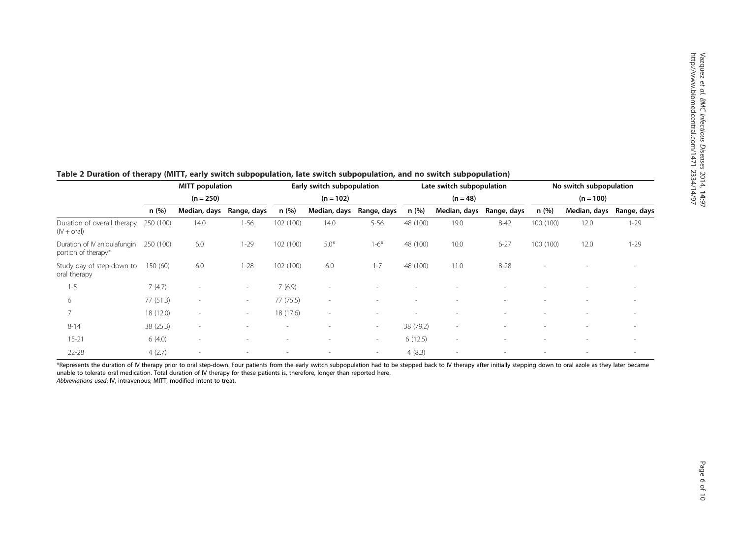Vazquez

|                                                     | <b>MITT</b> population<br>$(n = 250)$ |              | Early switch subpopulation<br>$(n = 102)$ |           | Late switch subpopulation<br>$(n = 48)$ |                          | No switch subpopulation<br>$(n = 100)$ |                          |             |           |              |                          |
|-----------------------------------------------------|---------------------------------------|--------------|-------------------------------------------|-----------|-----------------------------------------|--------------------------|----------------------------------------|--------------------------|-------------|-----------|--------------|--------------------------|
|                                                     |                                       |              |                                           |           |                                         |                          |                                        |                          |             |           |              |                          |
|                                                     | n(%)                                  | Median, days | Range, days                               | n (%)     | Median, days                            | Range, days              | n (%)                                  | Median, days             | Range, days | n (%)     | Median, days | Range, days              |
| Duration of overall therapy<br>$(IV + oral)$        | 250 (100)                             | 14.0         | $1 - 56$                                  | 102 (100) | 14.0                                    | $5 - 56$                 | 48 (100)                               | 19.0                     | $8 - 42$    | 100 (100) | 12.0         | $1 - 29$                 |
| Duration of IV anidulafungin<br>portion of therapy* | 250 (100)                             | 6.0          | $1 - 29$                                  | 102 (100) | $5.0*$                                  | $1-6*$                   | 48 (100)                               | 10.0                     | $6 - 27$    | 100 (100) | 12.0         | $1 - 29$                 |
| Study day of step-down to<br>oral therapy           | 150 (60)                              | 6.0          | $1 - 28$                                  | 102 (100) | 6.0                                     | $1 - 7$                  | 48 (100)                               | 11.0                     | $8 - 28$    |           |              |                          |
| $1 - 5$                                             | 7(4.7)                                |              | $\sim$                                    | 7(6.9)    |                                         |                          |                                        |                          |             |           |              |                          |
| 6                                                   | 77 (51.3)                             | $\sim$       | $\sim$                                    | 77 (75.5) | $\overline{\phantom{a}}$                | $\sim$                   |                                        |                          |             |           |              | ۰                        |
|                                                     | 18 (12.0)                             | $\sim$       | $\overline{\phantom{a}}$                  | 18 (17.6) | $\overline{\phantom{a}}$                | $\overline{\phantom{a}}$ |                                        | $\sim$                   |             |           |              |                          |
| $8 - 14$                                            | 38 (25.3)                             | $\sim$       |                                           |           |                                         | $\overline{\phantom{a}}$ | 38 (79.2)                              | $\overline{\phantom{a}}$ |             |           |              |                          |
| $15 - 21$                                           | 6(4.0)                                |              |                                           | ٠         | ٠                                       | $\overline{\phantom{a}}$ | 6(12.5)                                | $\overline{\phantom{a}}$ |             |           |              | $\overline{\phantom{a}}$ |
| $22 - 28$                                           | 4(2.7)                                |              |                                           |           |                                         | $\overline{\phantom{a}}$ | 4(8.3)                                 |                          |             |           |              |                          |

# Table 2 Duration of therapy (MITT, early switch subpopulation, late switch subpopulation, and no switch subpopulation)

\*Represents the duration of IV therapy prior to oral step-down. Four patients from the early switch subpopulation had to be stepped back to IV therapy after initially stepping down to oral azole as they later became unable to tolerate oral medication. Total duration of IV therapy for these patients is, therefore, longer than reported here. Abbreviations used: IV, intravenous; MITT, modified intent-to-treat.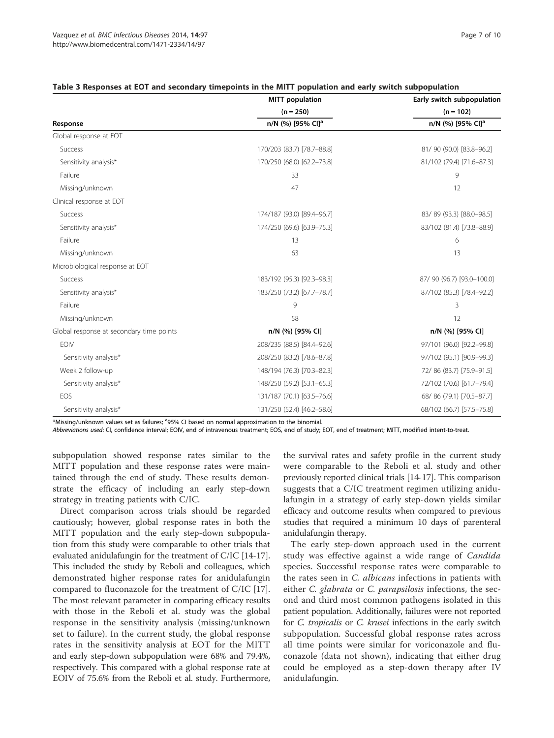|                                          | <b>MITT</b> population        | Early switch subpopulation<br>$(n = 102)$<br>n/N (%) [95% CI] <sup>a</sup> |  |  |
|------------------------------------------|-------------------------------|----------------------------------------------------------------------------|--|--|
|                                          | $(n = 250)$                   |                                                                            |  |  |
| Response                                 | n/N (%) [95% CI] <sup>a</sup> |                                                                            |  |  |
| Global response at EOT                   |                               |                                                                            |  |  |
| Success                                  | 170/203 (83.7) [78.7-88.8]    | 81/90 (90.0) [83.8-96.2]                                                   |  |  |
| Sensitivity analysis*                    | 170/250 (68.0) [62.2-73.8]    | 81/102 (79.4) [71.6-87.3]                                                  |  |  |
| Failure                                  | 33                            | 9                                                                          |  |  |
| Missing/unknown                          | 47                            | 12                                                                         |  |  |
| Clinical response at EOT                 |                               |                                                                            |  |  |
| Success                                  | 174/187 (93.0) [89.4-96.7]    | 83/89 (93.3) [88.0-98.5]                                                   |  |  |
| Sensitivity analysis*                    | 174/250 (69.6) [63.9-75.3]    | 83/102 (81.4) [73.8-88.9]                                                  |  |  |
| Failure                                  | 13                            | 6                                                                          |  |  |
| Missing/unknown                          | 63                            | 13                                                                         |  |  |
| Microbiological response at EOT          |                               |                                                                            |  |  |
| Success                                  | 183/192 (95.3) [92.3-98.3]    | 87/ 90 (96.7) [93.0-100.0]                                                 |  |  |
| Sensitivity analysis*                    | 183/250 (73.2) [67.7-78.7]    | 87/102 (85.3) [78.4-92.2]                                                  |  |  |
| Failure                                  | 9                             | 3                                                                          |  |  |
| Missing/unknown                          | 58                            | 12                                                                         |  |  |
| Global response at secondary time points | n/N (%) [95% CI]              | n/N (%) [95% CI]                                                           |  |  |
| <b>EOIV</b>                              | 208/235 (88.5) [84.4-92.6]    | 97/101 (96.0) [92.2-99.8]                                                  |  |  |
| Sensitivity analysis*                    | 208/250 (83.2) [78.6-87.8]    | 97/102 (95.1) [90.9-99.3]                                                  |  |  |
| Week 2 follow-up                         | 148/194 (76.3) [70.3-82.3]    | 72/86 (83.7) [75.9-91.5]                                                   |  |  |
| Sensitivity analysis*                    | 148/250 (59.2) [53.1-65.3]    | 72/102 (70.6) [61.7-79.4]                                                  |  |  |
| EOS                                      | 131/187 (70.1) [63.5-76.6]    | 68/86 (79.1) [70.5-87.7]                                                   |  |  |
| Sensitivity analysis*                    | 131/250 (52.4) [46.2-58.6]    | 68/102 (66.7) [57.5-75.8]                                                  |  |  |

#### Table 3 Responses at EOT and secondary timepoints in the MITT population and early switch subpopulation

\*Missing/unknown values set as failures; <sup>a</sup>95% CI based on normal approximation to the binomial.

Abbreviations used: CI, confidence interval; EOIV, end of intravenous treatment; EOS, end of study; EOT, end of treatment; MITT, modified intent-to-treat.

subpopulation showed response rates similar to the MITT population and these response rates were maintained through the end of study. These results demonstrate the efficacy of including an early step-down strategy in treating patients with C/IC.

Direct comparison across trials should be regarded cautiously; however, global response rates in both the MITT population and the early step-down subpopulation from this study were comparable to other trials that evaluated anidulafungin for the treatment of C/IC [14-17]. This included the study by Reboli and colleagues, which demonstrated higher response rates for anidulafungin compared to fluconazole for the treatment of C/IC [17]. The most relevant parameter in comparing efficacy results with those in the Reboli et al. study was the global response in the sensitivity analysis (missing/unknown set to failure). In the current study, the global response rates in the sensitivity analysis at EOT for the MITT and early step-down subpopulation were 68% and 79.4%, respectively. This compared with a global response rate at EOIV of 75.6% from the Reboli et al. study. Furthermore,

the survival rates and safety profile in the current study were comparable to the Reboli et al. study and other previously reported clinical trials [14-17]. This comparison suggests that a C/IC treatment regimen utilizing anidulafungin in a strategy of early step-down yields similar efficacy and outcome results when compared to previous studies that required a minimum 10 days of parenteral anidulafungin therapy.

The early step-down approach used in the current study was effective against a wide range of Candida species. Successful response rates were comparable to the rates seen in C. *albicans* infections in patients with either *C. glabrata* or *C. parapsilosis* infections, the second and third most common pathogens isolated in this patient population. Additionally, failures were not reported for C. tropicalis or C. krusei infections in the early switch subpopulation. Successful global response rates across all time points were similar for voriconazole and fluconazole (data not shown), indicating that either drug could be employed as a step-down therapy after IV anidulafungin.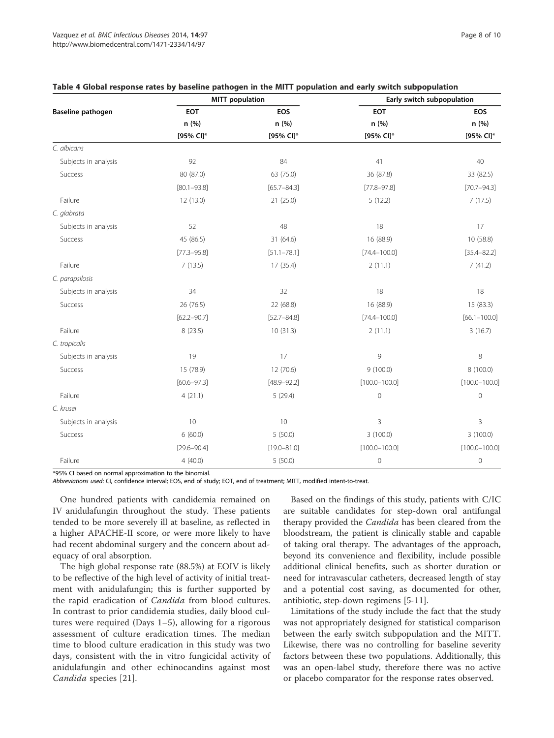|                      |                 | <b>MITT</b> population | Early switch subpopulation |                   |  |
|----------------------|-----------------|------------------------|----------------------------|-------------------|--|
| Baseline pathogen    | <b>FOT</b>      | EOS                    | <b>EOT</b>                 | EOS               |  |
|                      | n (%)           | n (%)                  | n (%)                      | n (%)             |  |
|                      | [95% CI]*       | [95% CI]*              | [95% CI]*                  | [95% CI]*         |  |
| C. albicans          |                 |                        |                            |                   |  |
| Subjects in analysis | 92              | 84                     | 41                         | 40                |  |
| Success              | 80 (87.0)       | 63 (75.0)              | 36 (87.8)                  | 33 (82.5)         |  |
|                      | $[80.1 - 93.8]$ | $[65.7 - 84.3]$        | $[77.8 - 97.8]$            | $[70.7 - 94.3]$   |  |
| Failure              | 12 (13.0)       | 21 (25.0)              | 5(12.2)                    | 7(17.5)           |  |
| C. glabrata          |                 |                        |                            |                   |  |
| Subjects in analysis | 52              | 48                     | 18                         | 17                |  |
| Success              | 45 (86.5)       | 31 (64.6)              | 16 (88.9)                  | 10 (58.8)         |  |
|                      | $[77.3 - 95.8]$ | $[51.1 - 78.1]$        | $[74.4 - 100.0]$           | $[35.4 - 82.2]$   |  |
| Failure              | 7(13.5)         | 17 (35.4)              | 2(11.1)                    | 7(41.2)           |  |
| C. parapsilosis      |                 |                        |                            |                   |  |
| Subjects in analysis | 34              | 32                     | 18                         | 18                |  |
| Success              | 26 (76.5)       | 22 (68.8)              | 16 (88.9)                  | 15 (83.3)         |  |
|                      | $[62.2 - 90.7]$ | $[52.7 - 84.8]$        | $[74.4 - 100.0]$           | $[66.1 - 100.0]$  |  |
| Failure              | 8(23.5)         | 10(31.3)               | 2(11.1)                    | 3(16.7)           |  |
| C. tropicalis        |                 |                        |                            |                   |  |
| Subjects in analysis | 19              | 17                     | 9                          | $\,8\,$           |  |
| Success              | 15 (78.9)       | 12 (70.6)              | 9(100.0)                   | 8 (100.0)         |  |
|                      | $[60.6 - 97.3]$ | $[48.9 - 92.2]$        | $[100.0 - 100.0]$          | $[100.0 - 100.0]$ |  |
| Failure              | 4(21.1)         | 5(29.4)                | $\mathsf{O}\xspace$        | $\mathbf 0$       |  |
| C. krusei            |                 |                        |                            |                   |  |
| Subjects in analysis | 10              | $10$                   | 3                          | 3                 |  |
| Success              | 6(60.0)         | 5(50.0)                | 3(100.0)                   | 3(100.0)          |  |
|                      | $[29.6 - 90.4]$ | $[19.0 - 81.0]$        | $[100.0 - 100.0]$          | $[100.0 - 100.0]$ |  |
| Failure              | 4(40.0)         | 5(50.0)                | $\mathbb O$                | $\mathbf 0$       |  |

#### Table 4 Global response rates by baseline pathogen in the MITT population and early switch subpopulation

\*95% CI based on normal approximation to the binomial.

Abbreviations used: CI, confidence interval; EOS, end of study; EOT, end of treatment; MITT, modified intent-to-treat.

One hundred patients with candidemia remained on IV anidulafungin throughout the study. These patients tended to be more severely ill at baseline, as reflected in a higher APACHE-II score, or were more likely to have had recent abdominal surgery and the concern about adequacy of oral absorption.

The high global response rate (88.5%) at EOIV is likely to be reflective of the high level of activity of initial treatment with anidulafungin; this is further supported by the rapid eradication of *Candida* from blood cultures. In contrast to prior candidemia studies, daily blood cultures were required (Days 1–5), allowing for a rigorous assessment of culture eradication times. The median time to blood culture eradication in this study was two days, consistent with the in vitro fungicidal activity of anidulafungin and other echinocandins against most Candida species [21].

Based on the findings of this study, patients with C/IC are suitable candidates for step-down oral antifungal therapy provided the Candida has been cleared from the bloodstream, the patient is clinically stable and capable of taking oral therapy. The advantages of the approach, beyond its convenience and flexibility, include possible additional clinical benefits, such as shorter duration or need for intravascular catheters, decreased length of stay and a potential cost saving, as documented for other, antibiotic, step-down regimens [5-11].

Limitations of the study include the fact that the study was not appropriately designed for statistical comparison between the early switch subpopulation and the MITT. Likewise, there was no controlling for baseline severity factors between these two populations. Additionally, this was an open-label study, therefore there was no active or placebo comparator for the response rates observed.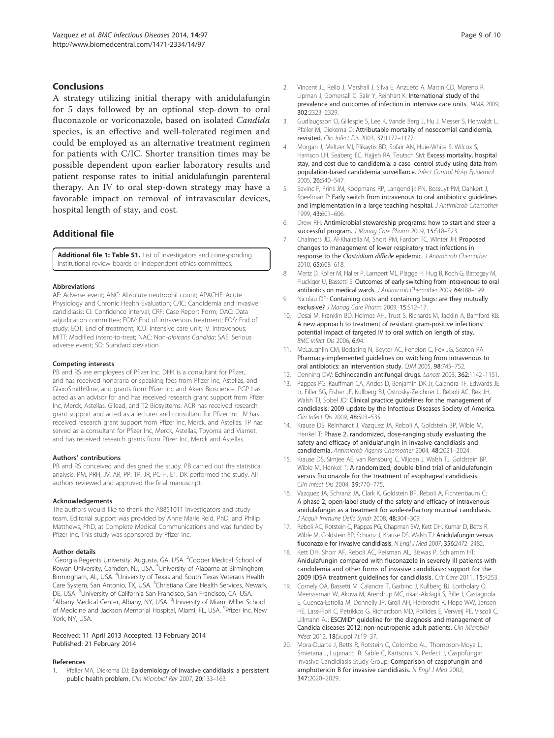#### Conclusions

A strategy utilizing initial therapy with anidulafungin for 5 days followed by an optional step-down to oral fluconazole or voriconazole, based on isolated Candida species, is an effective and well-tolerated regimen and could be employed as an alternative treatment regimen for patients with C/IC. Shorter transition times may be possible dependent upon earlier laboratory results and patient response rates to initial anidulafungin parenteral therapy. An IV to oral step-down strategy may have a favorable impact on removal of intravascular devices, hospital length of stay, and cost.

# Additional file

Additional file 1: Table S1. List of investigators and corresponding institutional review boards or independent ethics committees.

#### Abbreviations

AE: Adverse event; ANC: Absolute neutrophil count; APACHE: Acute Physiology and Chronic Health Evaluation; C/IC: Candidemia and invasive candidiasis; CI: Confidence interval; CRF: Case Report Form; DAC: Data adjudication committee; EOIV: End of intravenous treatment; EOS: End of study; EOT: End of treatment; ICU: Intensive care unit; IV: Intravenous; MITT: Modified intent-to-treat; NAC: Non-albicans Candida; SAE: Serious adverse event; SD: Standard deviation.

#### Competing interests

PB and RS are employees of Pfizer Inc. DHK is a consultant for Pfizer, and has received honoraria or speaking fees from Pfizer Inc, Astellas, and GlaxoSmithKline, and grants from Pfizer Inc and Akers Bioscience. PGP has acted as an advisor for and has received research grant support from Pfizer Inc, Merck, Astellas, Gilead, and T2 Biosystems. ACR has received research grant support and acted as a lecturer and consultant for Pfizer Inc. JV has received research grant support from Pfizer Inc, Merck, and Astellas. TP has served as a consultant for Pfizer Inc, Merck, Astellas, Toyoma and Viamet, and has received research grants from Pfizer Inc, Merck and Astellas.

#### Authors' contributions

PB and RS conceived and designed the study. PB carried out the statistical analysis. PM, PRH, JV, AR, PP, TP, JR, PC-H, ET, DK performed the study. All authors reviewed and approved the final manuscript.

#### Acknowledgements

The authors would like to thank the A8851011 investigators and study team. Editorial support was provided by Anne Marie Reid, PhD, and Philip Matthews, PhD, at Complete Medical Communications and was funded by Pfizer Inc. This study was sponsored by Pfizer Inc.

#### Author details

<sup>1</sup>Georgia Regents University, Augusta, GA, USA. <sup>2</sup>Cooper Medical School of Rowan University, Camden, NJ, USA. <sup>3</sup>University of Alabama at Birmingham, Birmingham, AL, USA. <sup>4</sup>University of Texas and South Texas Veterans Health Care System, San Antonio, TX, USA. <sup>5</sup>Christiana Care Health Services, Newark, DE, USA. <sup>6</sup>University of California San Francisco, San Francisco, CA, USA.<br><sup>7</sup>Albany Medical Center, Albany, NY USA. <sup>8</sup>University of Miami Miller Sc Albany Medical Center, Albany, NY, USA. <sup>8</sup>University of Miami Miller School of Medicine and Jackson Memorial Hospital, Miami, FL, USA. <sup>9</sup>Pfizer Inc, New York, NY, USA.

#### Received: 11 April 2013 Accepted: 13 February 2014 Published: 21 February 2014

#### References

Pfaller MA, Diekema DJ: Epidemiology of invasive candidiasis: a persistent public health problem. Clin Microbiol Rev 2007, 20:133-163.

- 2. Vincent JL, Rello J, Marshall J, Silva E, Anzueto A, Martin CD, Moreno R, Lipman J, Gomersall C, Sakr Y, Reinhart K: International study of the prevalence and outcomes of infection in intensive care units. JAMA 2009, 302:2323–2329.
- 3. Gudlaugsson O, Gillespie S, Lee K, Vande Berg J, Hu J, Messer S, Herwaldt L, Pfaller M, Diekema D: Attributable mortality of nosocomial candidemia, revisited. Clin Infect Dis 2003, 37:1172–1177.
- 4. Morgan J, Meltzer MI, Plikaytis BD, Sofair AN, Huie-White S, Wilcox S, Harrison LH, Seaberg EC, Hajjeh RA, Teutsch SM: Excess mortality, hospital stay, and cost due to candidemia: a case–control study using data from population-based candidemia surveillance. Infect Control Hosp Epidemiol 2005, 26:540–547.
- 5. Sevinc F, Prins JM, Koopmans RP, Langendijk PN, Bossuyt PM, Dankert J, Speelman P: Early switch from intravenous to oral antibiotics: guidelines and implementation in a large teaching hospital. J Antimicrob Chemother 1999, 43:601–606.
- 6. Drew RH: Antimicrobial stewardship programs: how to start and steer a successful program. J Manag Care Pharm 2009, 15:S18-S23.
- 7. Chalmers JD, Al-Khairalla M, Short PM, Fardon TC, Winter JH: Proposed changes to management of lower respiratory tract infections in response to the Clostridium difficile epidemic. J Antimicrob Chemother 2010, 65:608–618.
- 8. Mertz D, Koller M, Haller P, Lampert ML, Plagge H, Hug B, Koch G, Battegay M, Fluckiger U, Bassetti S: Outcomes of early switching from intravenous to oral antibiotics on medical wards. J Antimicrob Chemother 2009, 64:188–199.
- 9. Nicolau DP: Containing costs and containing bugs: are they mutually exclusive? J Manag Care Pharm 2009, 15:S12–17.
- 10. Desai M, Franklin BD, Holmes AH, Trust S, Richards M, Jacklin A, Bamford KB: A new approach to treatment of resistant gram-positive infections: potential impact of targeted IV to oral switch on length of stay. BMC Infect Dis 2006, 6:94.
- 11. McLaughlin CM, Bodasing N, Boyter AC, Fenelon C, Fox JG, Seaton RA: Pharmacy-implemented guidelines on switching from intravenous to oral antibiotics: an intervention study. QJM 2005, 98:745–752.
- 12. Denning DW: Echinocandin antifungal drugs. Lancet 2003, 362:1142-1151.
- 13. Pappas PG, Kauffman CA, Andes D, Benjamin DK Jr, Calandra TF, Edwards JE Jr, Filler SG, Fisher JF, Kullberg BJ, Ostrosky-Zeichner L, Reboli AC, Rex JH, Walsh TJ, Sobel JD: Clinical practice guidelines for the management of candidiasis: 2009 update by the Infectious Diseases Society of America. Clin Infect Dis 2009, 48:503–535.
- 14. Krause DS, Reinhardt J, Vazquez JA, Reboli A, Goldstein BP, Wible M, Henkel T: Phase 2, randomized, dose-ranging study evaluating the safety and efficacy of anidulafungin in invasive candidiasis and candidemia. Antimicrob Agents Chemother 2004, 48:2021–2024.
- 15. Krause DS, Simjee AE, van Rensburg C, Viljoen J, Walsh TJ, Goldstein BP, Wible M, Henkel T: A randomized, double-blind trial of anidulafungin versus fluconazole for the treatment of esophageal candidiasis. Clin Infect Dis 2004, 39:770–775.
- 16. Vazquez JA, Schranz JA, Clark K, Goldstein BP, Reboli A, Fichtenbaum C: A phase 2, open-label study of the safety and efficacy of intravenous anidulafungin as a treatment for azole-refractory mucosal candidiasis. J Acquir Immune Defic Syndr 2008, 48:304–309.
- 17. Reboli AC, Rotstein C, Pappas PG, Chapman SW, Kett DH, Kumar D, Betts R, Wible M, Goldstein BP, Schranz J, Krause DS, Walsh TJ: Anidulafungin versus fluconazole for invasive candidiasis. N Engl J Med 2007, 356:2472-2482.
- 18. Kett DH, Shorr AF, Reboli AC, Reisman AL, Biswas P, Schlamm HT: Anidulafungin compared with fluconazole in severely ill patients with candidemia and other forms of invasive candidiasis: support for the 2009 IDSA treatment quidelines for candidiasis. Crit Care 2011, 15:R253.
- 19. Cornely OA, Bassetti M, Calandra T, Garbino J, Kullberg BJ, Lortholary O, Meersseman W, Akova M, Arendrup MC, rikan-Akdagli S, Bille J, Castagnola E, Cuenca-Estrella M, Donnelly JP, Groll AH, Herbrecht R, Hope WW, Jensen HE, Lass-Florl C, Petrikkos G, Richardson MD, Roilides E, Verweij PE, Viscoli C, Ullmann AJ: ESCMID\* guideline for the diagnosis and management of Candida diseases 2012: non-neutropenic adult patients. Clin Microbiol Infect 2012, 18(Suppl 7):19–37.
- 20. Mora-Duarte J, Betts R, Rotstein C, Colombo AL, Thompson-Moya L, Smietana J, Lupinacci R, Sable C, Kartsonis N, Perfect J, Caspofungin Invasive Candidiasis Study Group: Comparison of caspofungin and amphotericin B for invasive candidiasis. N Engl J Med 2002, 347:2020–2029.